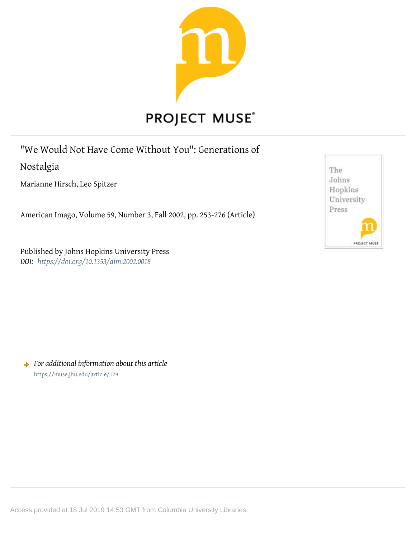

# **PROJECT MUSE®**

"We Would Not Have Come Without You": Generations of

Nostalgia

Marianne Hirsch, Leo Spitzer

American Imago, Volume 59, Number 3, Fall 2002, pp. 253-276 (Article)

Published by Johns Hopkins University Press *DOI: <https://doi.org/10.1353/aim.2002.0018>*

The Johns Hopkins University Press **PROJECT MUSE** 

*For additional information about this article* <https://muse.jhu.edu/article/179>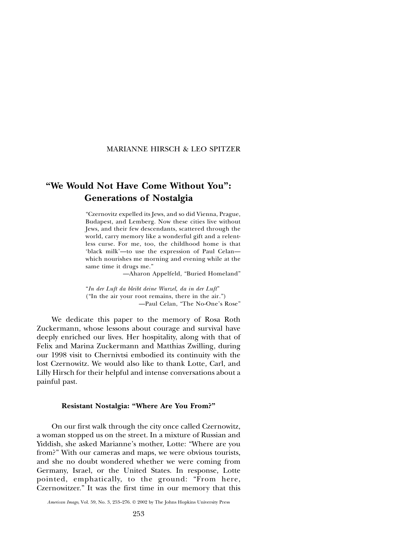# MARIANNE HIRSCH & LEO SPITZER

# **"We Would Not Have Come Without You": Generations of Nostalgia**

"Czernovitz expelled its Jews, and so did Vienna, Prague, Budapest, and Lemberg. Now these cities live without Jews, and their few descendants, scattered through the world, carry memory like a wonderful gift and a relentless curse. For me, too, the childhood home is that 'black milk'—to use the expression of Paul Celan which nourishes me morning and evening while at the same time it drugs me."

—Aharon Appelfeld, "Buried Homeland"

"*In der Luft da bleibt deine Wurzel, da in der Luft*" ("In the air your root remains, there in the air.") —Paul Celan, "The No-One's Rose"

We dedicate this paper to the memory of Rosa Roth Zuckermann, whose lessons about courage and survival have deeply enriched our lives. Her hospitality, along with that of Felix and Marina Zuckermann and Matthias Zwilling, during our 1998 visit to Chernivtsi embodied its continuity with the lost Czernowitz. We would also like to thank Lotte, Carl, and Lilly Hirsch for their helpful and intense conversations about a painful past.

#### **Resistant Nostalgia: "Where Are You From?"**

On our first walk through the city once called Czernowitz, a woman stopped us on the street. In a mixture of Russian and Yiddish, she asked Marianne's mother, Lotte: "Where are you from?" With our cameras and maps, we were obvious tourists, and she no doubt wondered whether we were coming from Germany, Israel, or the United States. In response, Lotte pointed, emphatically, to the ground: "From here, Czernowitzer." It was the first time in our memory that this

*American Imago*, Vol. 59, No. 3, 253–276. © 2002 by The Johns Hopkins University Press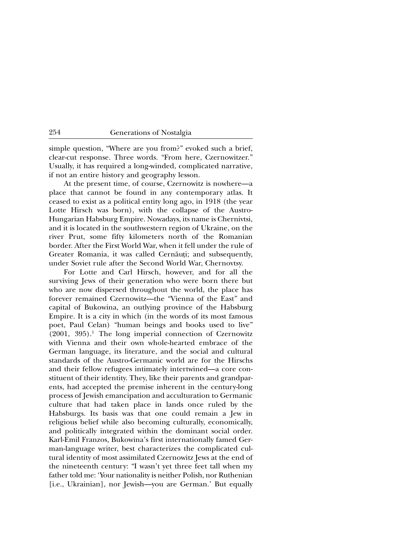simple question, "Where are you from?" evoked such a brief, clear-cut response. Three words. "From here, Czernowitzer." Usually, it has required a long-winded, complicated narrative, if not an entire history and geography lesson.

At the present time, of course, Czernowitz is nowhere—a place that cannot be found in any contemporary atlas. It ceased to exist as a political entity long ago, in 1918 (the year Lotte Hirsch was born), with the collapse of the Austro-Hungarian Habsburg Empire. Nowadays, its name is Chernivtsi, and it is located in the southwestern region of Ukraine, on the river Prut, some fifty kilometers north of the Romanian border. After the First World War, when it fell under the rule of Greater Romania, it was called Cernăuți; and subsequently, under Soviet rule after the Second World War, Chernovtsy.

For Lotte and Carl Hirsch, however, and for all the surviving Jews of their generation who were born there but who are now dispersed throughout the world, the place has forever remained Czernowitz—the "Vienna of the East" and capital of Bukowina, an outlying province of the Habsburg Empire. It is a city in which (in the words of its most famous poet, Paul Celan) "human beings and books used to live"  $(2001, 395).$ <sup>1</sup> The long imperial connection of Czernowitz with Vienna and their own whole-hearted embrace of the German language, its literature, and the social and cultural standards of the Austro-Germanic world are for the Hirschs and their fellow refugees intimately intertwined—a core constituent of their identity. They, like their parents and grandparents, had accepted the premise inherent in the century-long process of Jewish emancipation and acculturation to Germanic culture that had taken place in lands once ruled by the Habsburgs. Its basis was that one could remain a Jew in religious belief while also becoming culturally, economically, and politically integrated within the dominant social order. Karl-Emil Franzos, Bukowina's first internationally famed German-language writer, best characterizes the complicated cultural identity of most assimilated Czernowitz Jews at the end of the nineteenth century: "I wasn't yet three feet tall when my father told me: 'Your nationality is neither Polish, nor Ruthenian [i.e., Ukrainian], nor Jewish-you are German.' But equally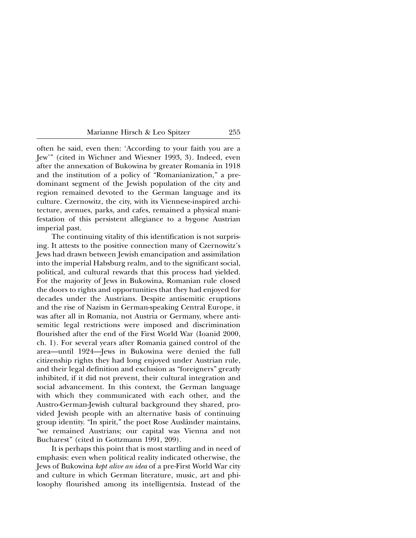often he said, even then: 'According to your faith you are a Jew'" (cited in Wichner and Wiesner 1993, 3). Indeed, even after the annexation of Bukowina by greater Romania in 1918 and the institution of a policy of "Romanianization," a predominant segment of the Jewish population of the city and region remained devoted to the German language and its culture. Czernowitz, the city, with its Viennese-inspired architecture, avenues, parks, and cafes, remained a physical manifestation of this persistent allegiance to a bygone Austrian imperial past.

The continuing vitality of this identification is not surprising. It attests to the positive connection many of Czernowitz's Jews had drawn between Jewish emancipation and assimilation into the imperial Habsburg realm, and to the significant social, political, and cultural rewards that this process had yielded. For the majority of Jews in Bukowina, Romanian rule closed the doors to rights and opportunities that they had enjoyed for decades under the Austrians. Despite antisemitic eruptions and the rise of Nazism in German-speaking Central Europe, it was after all in Romania, not Austria or Germany, where antisemitic legal restrictions were imposed and discrimination flourished after the end of the First World War (Ioanid 2000, ch. 1). For several years after Romania gained control of the area—until 1924—Jews in Bukowina were denied the full citizenship rights they had long enjoyed under Austrian rule, and their legal definition and exclusion as "foreigners" greatly inhibited, if it did not prevent, their cultural integration and social advancement. In this context, the German language with which they communicated with each other, and the Austro-German-Jewish cultural background they shared, provided Jewish people with an alternative basis of continuing group identity. "In spirit," the poet Rose Ausländer maintains, "we remained Austrians; our capital was Vienna and not Bucharest" (cited in Gottzmann 1991, 209).

It is perhaps this point that is most startling and in need of emphasis: even when political reality indicated otherwise, the Jews of Bukowina *kept alive an idea* of a pre-First World War city and culture in which German literature, music, art and philosophy flourished among its intelligentsia. Instead of the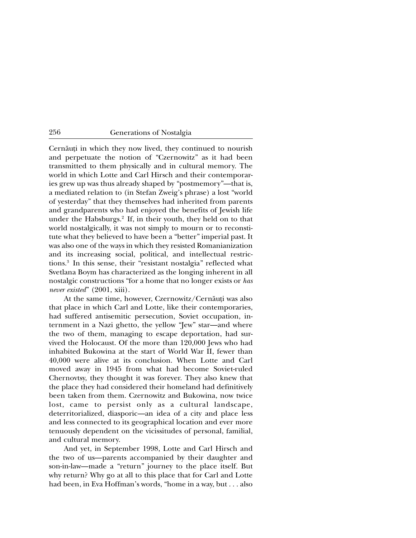Cernăuți in which they now lived, they continued to nourish and perpetuate the notion of "Czernowitz" as it had been transmitted to them physically and in cultural memory. The world in which Lotte and Carl Hirsch and their contemporaries grew up was thus already shaped by "postmemory"—that is, a mediated relation to (in Stefan Zweig's phrase) a lost "world of yesterday" that they themselves had inherited from parents and grandparents who had enjoyed the benefits of Jewish life under the Habsburgs.<sup>2</sup> If, in their youth, they held on to that world nostalgically, it was not simply to mourn or to reconstitute what they believed to have been a "better" imperial past. It was also one of the ways in which they resisted Romanianization and its increasing social, political, and intellectual restrictions.3 In this sense, their "resistant nostalgia" reflected what Svetlana Boym has characterized as the longing inherent in all nostalgic constructions "for a home that no longer exists or *has never existed*" (2001, xiii).

At the same time, however, Czernowitz/Cernăuți was also that place in which Carl and Lotte, like their contemporaries, had suffered antisemitic persecution, Soviet occupation, internment in a Nazi ghetto, the yellow "Jew" star—and where the two of them, managing to escape deportation, had survived the Holocaust. Of the more than 120,000 Jews who had inhabited Bukowina at the start of World War II, fewer than 40,000 were alive at its conclusion. When Lotte and Carl moved away in 1945 from what had become Soviet-ruled Chernovtsy, they thought it was forever. They also knew that the place they had considered their homeland had definitively been taken from them. Czernowitz and Bukowina, now twice lost, came to persist only as a cultural landscape, deterritorialized, diasporic—an idea of a city and place less and less connected to its geographical location and ever more tenuously dependent on the vicissitudes of personal, familial, and cultural memory.

And yet, in September 1998, Lotte and Carl Hirsch and the two of us—parents accompanied by their daughter and son-in-law—made a "return" journey to the place itself. But why return? Why go at all to this place that for Carl and Lotte had been, in Eva Hoffman's words, "home in a way, but . . . also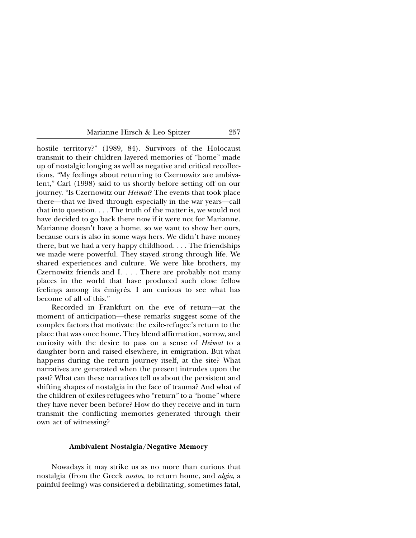hostile territory?" (1989, 84). Survivors of the Holocaust transmit to their children layered memories of "home" made up of nostalgic longing as well as negative and critical recollections. "My feelings about returning to Czernowitz are ambivalent," Carl (1998) said to us shortly before setting off on our journey. "Is Czernowitz our *Heimat*? The events that took place there—that we lived through especially in the war years—call that into question. . . . The truth of the matter is, we would not have decided to go back there now if it were not for Marianne. Marianne doesn't have a home, so we want to show her ours, because ours is also in some ways hers. We didn't have money there, but we had a very happy childhood. . . . The friendships we made were powerful. They stayed strong through life. We shared experiences and culture. We were like brothers, my Czernowitz friends and I. . . . There are probably not many places in the world that have produced such close fellow feelings among its émigrés. I am curious to see what has become of all of this."

Recorded in Frankfurt on the eve of return—at the moment of anticipation—these remarks suggest some of the complex factors that motivate the exile-refugee's return to the place that was once home. They blend affirmation, sorrow, and curiosity with the desire to pass on a sense of *Heimat* to a daughter born and raised elsewhere, in emigration. But what happens during the return journey itself, at the site? What narratives are generated when the present intrudes upon the past? What can these narratives tell us about the persistent and shifting shapes of nostalgia in the face of trauma? And what of the children of exiles-refugees who "return" to a "home" where they have never been before? How do they receive and in turn transmit the conflicting memories generated through their own act of witnessing?

# **Ambivalent Nostalgia/Negative Memory**

Nowadays it may strike us as no more than curious that nostalgia (from the Greek *nostos*, to return home, and *algia*, a painful feeling) was considered a debilitating, sometimes fatal,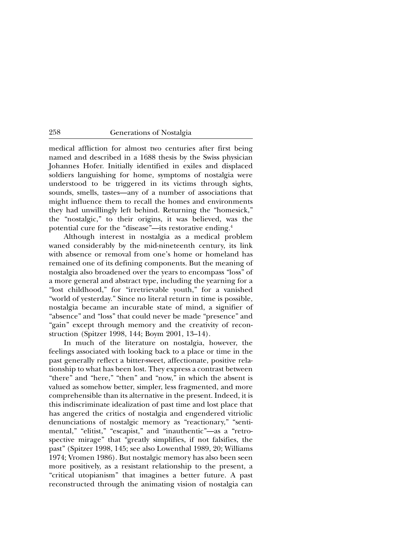medical affliction for almost two centuries after first being named and described in a 1688 thesis by the Swiss physician Johannes Hofer. Initially identified in exiles and displaced soldiers languishing for home, symptoms of nostalgia were understood to be triggered in its victims through sights, sounds, smells, tastes—any of a number of associations that might influence them to recall the homes and environments they had unwillingly left behind. Returning the "homesick," the "nostalgic," to their origins, it was believed, was the potential cure for the "disease"—its restorative ending.4

Although interest in nostalgia as a medical problem waned considerably by the mid-nineteenth century, its link with absence or removal from one's home or homeland has remained one of its defining components. But the meaning of nostalgia also broadened over the years to encompass "loss" of a more general and abstract type, including the yearning for a "lost childhood," for "irretrievable youth," for a vanished "world of yesterday." Since no literal return in time is possible, nostalgia became an incurable state of mind, a signifier of "absence" and "loss" that could never be made "presence" and "gain" except through memory and the creativity of reconstruction (Spitzer 1998, 144; Boym 2001, 13–14).

In much of the literature on nostalgia, however, the feelings associated with looking back to a place or time in the past generally reflect a bitter-sweet, affectionate, positive relationship to what has been lost. They express a contrast between "there" and "here," "then" and "now," in which the absent is valued as somehow better, simpler, less fragmented, and more comprehensible than its alternative in the present. Indeed, it is this indiscriminate idealization of past time and lost place that has angered the critics of nostalgia and engendered vitriolic denunciations of nostalgic memory as "reactionary," "sentimental," "elitist," "escapist," and "inauthentic"—as a "retrospective mirage" that "greatly simplifies, if not falsifies, the past" (Spitzer 1998, 145; see also Lowenthal 1989, 20; Williams 1974; Vromen 1986). But nostalgic memory has also been seen more positively, as a resistant relationship to the present, a "critical utopianism" that imagines a better future. A past reconstructed through the animating vision of nostalgia can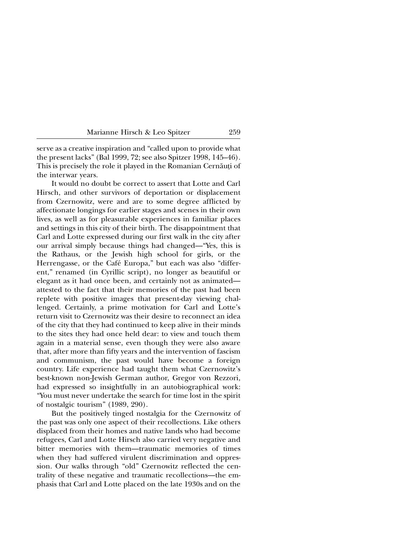serve as a creative inspiration and "called upon to provide what the present lacks" (Bal 1999, 72; see also Spitzer 1998, 145–46). This is precisely the role it played in the Romanian Cernăuți of the interwar years.

It would no doubt be correct to assert that Lotte and Carl Hirsch, and other survivors of deportation or displacement from Czernowitz, were and are to some degree afflicted by affectionate longings for earlier stages and scenes in their own lives, as well as for pleasurable experiences in familiar places and settings in this city of their birth. The disappointment that Carl and Lotte expressed during our first walk in the city after our arrival simply because things had changed—"Yes, this is the Rathaus, or the Jewish high school for girls, or the Herrengasse, or the Café Europa," but each was also "different," renamed (in Cyrillic script), no longer as beautiful or elegant as it had once been, and certainly not as animated attested to the fact that their memories of the past had been replete with positive images that present-day viewing challenged. Certainly, a prime motivation for Carl and Lotte's return visit to Czernowitz was their desire to reconnect an idea of the city that they had continued to keep alive in their minds to the sites they had once held dear: to view and touch them again in a material sense, even though they were also aware that, after more than fifty years and the intervention of fascism and communism, the past would have become a foreign country. Life experience had taught them what Czernowitz's best-known non-Jewish German author, Gregor von Rezzori, had expressed so insightfully in an autobiographical work: "You must never undertake the search for time lost in the spirit of nostalgic tourism" (1989, 290).

But the positively tinged nostalgia for the Czernowitz of the past was only one aspect of their recollections. Like others displaced from their homes and native lands who had become refugees, Carl and Lotte Hirsch also carried very negative and bitter memories with them—traumatic memories of times when they had suffered virulent discrimination and oppression. Our walks through "old" Czernowitz reflected the centrality of these negative and traumatic recollections—the emphasis that Carl and Lotte placed on the late 1930s and on the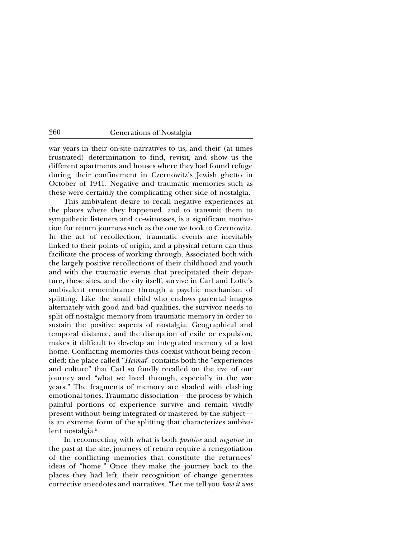war years in their on-site narratives to us, and their (at times frustrated) determination to find, revisit, and show us the different apartments and houses where they had found refuge during their confinement in Czernowitz's Jewish ghetto in October of 1941. Negative and traumatic memories such as these were certainly the complicating other side of nostalgia.

This ambivalent desire to recall negative experiences at the places where they happened, and to transmit them to sympathetic listeners and co-witnesses, is a significant motivation for return journeys such as the one we took to Czernowitz. In the act of recollection, traumatic events are inevitably linked to their points of origin, and a physical return can thus facilitate the process of working through. Associated both with the largely positive recollections of their childhood and youth and with the traumatic events that precipitated their departure, these sites, and the city itself, survive in Carl and Lotte's ambivalent remembrance through a psychic mechanism of splitting. Like the small child who endows parental imagos alternately with good and bad qualities, the survivor needs to split off nostalgic memory from traumatic memory in order to sustain the positive aspects of nostalgia. Geographical and temporal distance, and the disruption of exile or expulsion, makes it difficult to develop an integrated memory of a lost home. Conflicting memories thus coexist without being reconciled: the place called "*Heimat*" contains both the "experiences and culture" that Carl so fondly recalled on the eve of our journey and "what we lived through, especially in the war years." The fragments of memory are shaded with clashing emotional tones. Traumatic dissociation—the process by which painful portions of experience survive and remain vividly present without being integrated or mastered by the subject is an extreme form of the splitting that characterizes ambivalent nostalgia.<sup>5</sup>

In reconnecting with what is both *positive* and *negative* in the past at the site, journeys of return require a renegotiation of the conflicting memories that constitute the returnees' ideas of "home." Once they make the journey back to the places they had left, their recognition of change generates corrective anecdotes and narratives. "Let me tell you *how it was*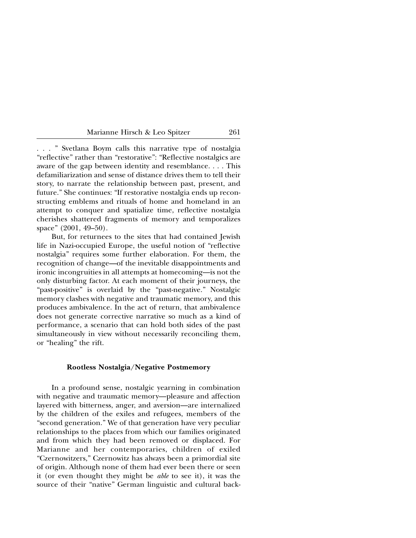. . . " Svetlana Boym calls this narrative type of nostalgia "reflective" rather than "restorative": "Reflective nostalgics are aware of the gap between identity and resemblance. . . . This defamiliarization and sense of distance drives them to tell their story, to narrate the relationship between past, present, and future." She continues: "If restorative nostalgia ends up reconstructing emblems and rituals of home and homeland in an attempt to conquer and spatialize time, reflective nostalgia cherishes shattered fragments of memory and temporalizes space" (2001, 49–50).

But, for returnees to the sites that had contained Jewish life in Nazi-occupied Europe, the useful notion of "reflective nostalgia" requires some further elaboration. For them, the recognition of change**—**of the inevitable disappointments and ironic incongruities in all attempts at homecoming—is not the only disturbing factor. At each moment of their journeys, the "past-positive" is overlaid by the "past-negative." Nostalgic memory clashes with negative and traumatic memory, and this produces ambivalence. In the act of return, that ambivalence does not generate corrective narrative so much as a kind of performance, a scenario that can hold both sides of the past simultaneously in view without necessarily reconciling them, or "healing" the rift.

# **Rootless Nostalgia/Negative Postmemory**

In a profound sense, nostalgic yearning in combination with negative and traumatic memory—pleasure and affection layered with bitterness, anger, and aversion—are internalized by the children of the exiles and refugees, members of the "second generation." We of that generation have very peculiar relationships to the places from which our families originated and from which they had been removed or displaced. For Marianne and her contemporaries, children of exiled "Czernowitzers," Czernowitz has always been a primordial site of origin. Although none of them had ever been there or seen it (or even thought they might be *able* to see it), it was the source of their "native" German linguistic and cultural back-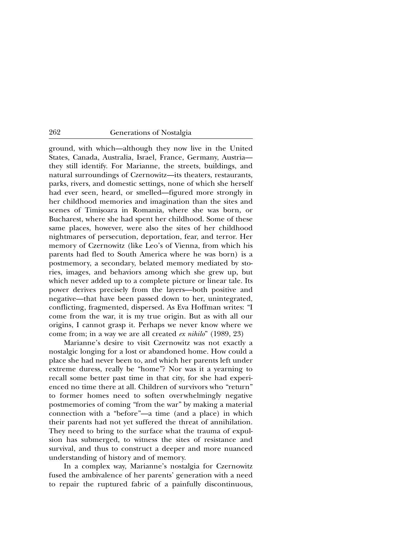# 262 Generations of Nostalgia

ground, with which—although they now live in the United States, Canada, Australia, Israel, France, Germany, Austria they still identify. For Marianne, the streets, buildings, and natural surroundings of Czernowitz—its theaters, restaurants, parks, rivers, and domestic settings, none of which she herself had ever seen, heard, or smelled—figured more strongly in her childhood memories and imagination than the sites and scenes of Timișoara in Romania, where she was born, or Bucharest, where she had spent her childhood. Some of these same places, however, were also the sites of her childhood nightmares of persecution, deportation, fear, and terror. Her memory of Czernowitz (like Leo's of Vienna, from which his parents had fled to South America where he was born) is a postmemory, a secondary, belated memory mediated by stories, images, and behaviors among which she grew up, but which never added up to a complete picture or linear tale. Its power derives precisely from the layers—both positive and negative—that have been passed down to her, unintegrated, conflicting, fragmented, dispersed. As Eva Hoffman writes: "I come from the war, it is my true origin. But as with all our origins, I cannot grasp it. Perhaps we never know where we come from; in a way we are all created *ex nihilo*" (1989, 23)

Marianne's desire to visit Czernowitz was not exactly a nostalgic longing for a lost or abandoned home. How could a place she had never been to, and which her parents left under extreme duress, really be "home"? Nor was it a yearning to recall some better past time in that city, for she had experienced no time there at all. Children of survivors who "return" to former homes need to soften overwhelmingly negative postmemories of coming "from the war" by making a material connection with a "before"—a time (and a place) in which their parents had not yet suffered the threat of annihilation. They need to bring to the surface what the trauma of expulsion has submerged, to witness the sites of resistance and survival, and thus to construct a deeper and more nuanced understanding of history and of memory.

In a complex way, Marianne's nostalgia for Czernowitz fused the ambivalence of her parents' generation with a need to repair the ruptured fabric of a painfully discontinuous,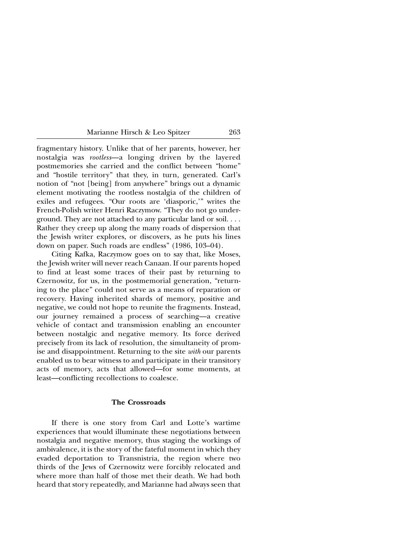fragmentary history. Unlike that of her parents, however, her nostalgia was *rootless*—a longing driven by the layered postmemories she carried and the conflict between "home" and "hostile territory" that they, in turn, generated. Carl's notion of "not [being] from anywhere" brings out a dynamic element motivating the rootless nostalgia of the children of exiles and refugees. "Our roots are 'diasporic,'" writes the French-Polish writer Henri Raczymow. "They do not go underground. They are not attached to any particular land or soil. . . . Rather they creep up along the many roads of dispersion that the Jewish writer explores, or discovers, as he puts his lines down on paper. Such roads are endless" (1986, 103–04).

Citing Kafka, Raczymow goes on to say that, like Moses, the Jewish writer will never reach Canaan. If our parents hoped to find at least some traces of their past by returning to Czernowitz, for us, in the postmemorial generation, "returning to the place" could not serve as a means of reparation or recovery. Having inherited shards of memory, positive and negative, we could not hope to reunite the fragments. Instead, our journey remained a process of searching—a creative vehicle of contact and transmission enabling an encounter between nostalgic and negative memory. Its force derived precisely from its lack of resolution, the simultaneity of promise and disappointment. Returning to the site *with* our parents enabled us to bear witness to and participate in their transitory acts of memory, acts that allowed—for some moments, at least—conflicting recollections to coalesce.

# **The Crossroads**

If there is one story from Carl and Lotte's wartime experiences that would illuminate these negotiations between nostalgia and negative memory, thus staging the workings of ambivalence, it is the story of the fateful moment in which they evaded deportation to Transnistria, the region where two thirds of the Jews of Czernowitz were forcibly relocated and where more than half of those met their death. We had both heard that story repeatedly, and Marianne had always seen that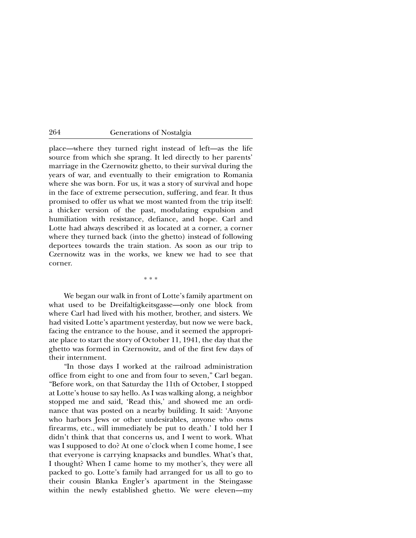place—where they turned right instead of left—as the life source from which she sprang. It led directly to her parents' marriage in the Czernowitz ghetto, to their survival during the years of war, and eventually to their emigration to Romania where she was born. For us, it was a story of survival and hope in the face of extreme persecution, suffering, and fear. It thus promised to offer us what we most wanted from the trip itself: a thicker version of the past, modulating expulsion and humiliation with resistance, defiance, and hope. Carl and Lotte had always described it as located at a corner, a corner where they turned back (into the ghetto) instead of following deportees towards the train station. As soon as our trip to Czernowitz was in the works, we knew we had to see that corner.

\* \* \*

We began our walk in front of Lotte's family apartment on what used to be Dreifaltigkeitsgasse—only one block from where Carl had lived with his mother, brother, and sisters. We had visited Lotte's apartment yesterday, but now we were back, facing the entrance to the house, and it seemed the appropriate place to start the story of October 11, 1941, the day that the ghetto was formed in Czernowitz, and of the first few days of their internment.

"In those days I worked at the railroad administration office from eight to one and from four to seven," Carl began. "Before work, on that Saturday the 11th of October, I stopped at Lotte's house to say hello. As I was walking along, a neighbor stopped me and said, 'Read this,' and showed me an ordinance that was posted on a nearby building. It said: 'Anyone who harbors Jews or other undesirables, anyone who owns firearms, etc., will immediately be put to death.' I told her I didn't think that that concerns us, and I went to work. What was I supposed to do? At one o'clock when I come home, I see that everyone is carrying knapsacks and bundles. What's that, I thought? When I came home to my mother's, they were all packed to go. Lotte's family had arranged for us all to go to their cousin Blanka Engler's apartment in the Steingasse within the newly established ghetto. We were eleven—my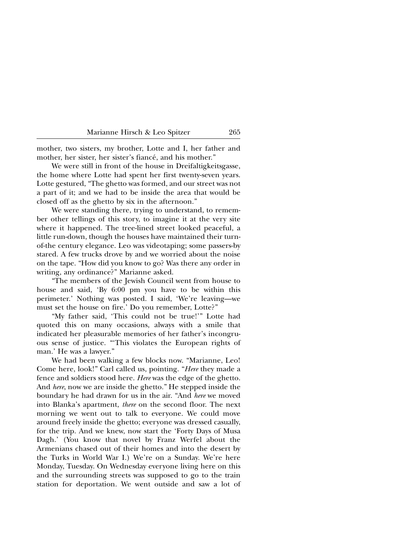mother, two sisters, my brother, Lotte and I, her father and mother, her sister, her sister's fiancé, and his mother."

We were still in front of the house in Dreifaltigkeitsgasse, the home where Lotte had spent her first twenty-seven years. Lotte gestured, "The ghetto was formed, and our street was not a part of it; and we had to be inside the area that would be closed off as the ghetto by six in the afternoon."

We were standing there, trying to understand, to remember other tellings of this story, to imagine it at the very site where it happened. The tree-lined street looked peaceful, a little run-down, though the houses have maintained their turnof-the century elegance. Leo was videotaping; some passers-by stared. A few trucks drove by and we worried about the noise on the tape. "How did you know to go? Was there any order in writing, any ordinance?" Marianne asked.

"The members of the Jewish Council went from house to house and said, 'By 6:00 pm you have to be within this perimeter.' Nothing was posted. I said, 'We're leaving—we must set the house on fire.' Do you remember, Lotte?"

"My father said, 'This could not be true!'" Lotte had quoted this on many occasions, always with a smile that indicated her pleasurable memories of her father's incongruous sense of justice. "'This violates the European rights of man.' He was a lawyer."

We had been walking a few blocks now. "Marianne, Leo! Come here, look!" Carl called us, pointing. "*Here* they made a fence and soldiers stood here. *Here* was the edge of the ghetto. And *here*, now we are inside the ghetto." He stepped inside the boundary he had drawn for us in the air. "And *here* we moved into Blanka's apartment, *there* on the second floor. The next morning we went out to talk to everyone. We could move around freely inside the ghetto; everyone was dressed casually, for the trip. And we knew, now start the 'Forty Days of Musa Dagh.' (You know that novel by Franz Werfel about the Armenians chased out of their homes and into the desert by the Turks in World War I.) We're on a Sunday. We're here Monday, Tuesday. On Wednesday everyone living here on this and the surrounding streets was supposed to go to the train station for deportation. We went outside and saw a lot of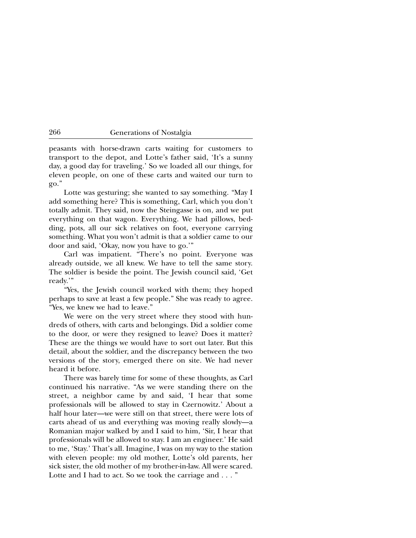peasants with horse-drawn carts waiting for customers to transport to the depot, and Lotte's father said, 'It's a sunny day, a good day for traveling.' So we loaded all our things, for eleven people, on one of these carts and waited our turn to go."

Lotte was gesturing; she wanted to say something. "May I add something here? This is something, Carl, which you don't totally admit. They said, now the Steingasse is on, and we put everything on that wagon. Everything. We had pillows, bedding, pots, all our sick relatives on foot, everyone carrying something. What you won't admit is that a soldier came to our door and said, 'Okay, now you have to go.'"

Carl was impatient. "There's no point. Everyone was already outside, we all knew. We have to tell the same story. The soldier is beside the point. The Jewish council said, 'Get ready.'"

"Yes, the Jewish council worked with them; they hoped perhaps to save at least a few people." She was ready to agree. "Yes, we knew we had to leave."

We were on the very street where they stood with hundreds of others, with carts and belongings. Did a soldier come to the door, or were they resigned to leave? Does it matter? These are the things we would have to sort out later. But this detail, about the soldier, and the discrepancy between the two versions of the story, emerged there on site. We had never heard it before.

There was barely time for some of these thoughts, as Carl continued his narrative. "As we were standing there on the street, a neighbor came by and said, 'I hear that some professionals will be allowed to stay in Czernowitz.' About a half hour later—we were still on that street, there were lots of carts ahead of us and everything was moving really slowly—a Romanian major walked by and I said to him, 'Sir, I hear that professionals will be allowed to stay. I am an engineer.' He said to me, 'Stay.' That's all. Imagine, I was on my way to the station with eleven people: my old mother, Lotte's old parents, her sick sister, the old mother of my brother-in-law. All were scared. Lotte and I had to act. So we took the carriage and . . *.* "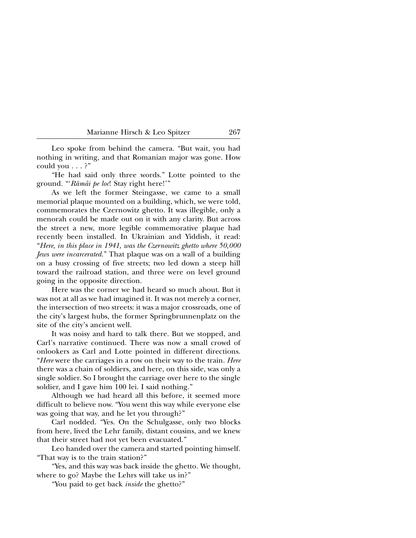Leo spoke from behind the camera. "But wait, you had nothing in writing, and that Romanian major was gone. How could you . . . ?"

"He had said only three words." Lotte pointed to the ground. "'*R˘amâi pe loc*! Stay right here!'"

As we left the former Steingasse, we came to a small memorial plaque mounted on a building, which, we were told, commemorates the Czernowitz ghetto. It was illegible, only a menorah could be made out on it with any clarity. But across the street a new, more legible commemorative plaque had recently been installed. In Ukrainian and Yiddish, it read: "*Here, in this place in 1941, was the Czernowitz ghetto where 50,000 Jews were incarcerated*." That plaque was on a wall of a building on a busy crossing of five streets; two led down a steep hill toward the railroad station, and three were on level ground going in the opposite direction.

Here was the corner we had heard so much about. But it was not at all as we had imagined it. It was not merely a corner, the intersection of two streets: it was a major crossroads, one of the city's largest hubs, the former Springbrunnenplatz on the site of the city's ancient well.

It was noisy and hard to talk there. But we stopped, and Carl's narrative continued. There was now a small crowd of onlookers as Carl and Lotte pointed in different directions. "*Here* were the carriages in a row on their way to the train. *Here* there was a chain of soldiers, and here, on this side, was only a single soldier. So I brought the carriage over here to the single soldier, and I gave him 100 lei. I said nothing."

Although we had heard all this before, it seemed more difficult to believe now. "You went this way while everyone else was going that way, and he let you through?"

Carl nodded. "Yes. On the Schulgasse, only two blocks from here, lived the Lehr family, distant cousins, and we knew that their street had not yet been evacuated."

Leo handed over the camera and started pointing himself. "That way is to the train station?"

"Yes, and this way was back inside the ghetto. We thought, where to go? Maybe the Lehrs will take us in?"

"You paid to get back *inside* the ghetto?"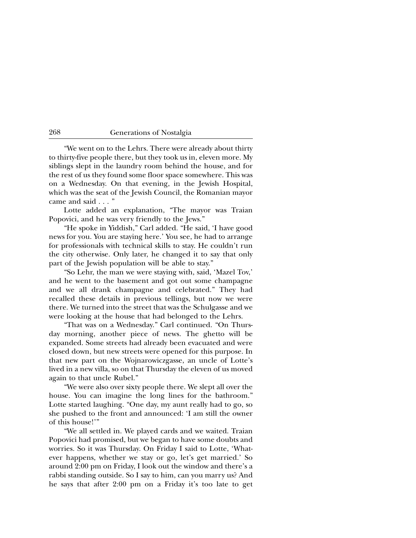"We went on to the Lehrs. There were already about thirty to thirty-five people there, but they took us in, eleven more. My siblings slept in the laundry room behind the house, and for the rest of us they found some floor space somewhere. This was on a Wednesday. On that evening, in the Jewish Hospital, which was the seat of the Jewish Council, the Romanian mayor came and said . . . "

Lotte added an explanation, "The mayor was Traian Popovici, and he was very friendly to the Jews."

"He spoke in Yiddish," Carl added. "He said, 'I have good news for you. You are staying here.' You see, he had to arrange for professionals with technical skills to stay. He couldn't run the city otherwise. Only later, he changed it to say that only part of the Jewish population will be able to stay."

"So Lehr, the man we were staying with, said, 'Mazel Tov,' and he went to the basement and got out some champagne and we all drank champagne and celebrated." They had recalled these details in previous tellings, but now we were there. We turned into the street that was the Schulgasse and we were looking at the house that had belonged to the Lehrs.

"That was on a Wednesday." Carl continued. "On Thursday morning, another piece of news. The ghetto will be expanded. Some streets had already been evacuated and were closed down, but new streets were opened for this purpose. In that new part on the Wojnarowiczgasse, an uncle of Lotte's lived in a new villa, so on that Thursday the eleven of us moved again to that uncle Rubel."

"We were also over sixty people there. We slept all over the house. You can imagine the long lines for the bathroom." Lotte started laughing. "One day, my aunt really had to go, so she pushed to the front and announced: 'I am still the owner of this house!'"

"We all settled in. We played cards and we waited. Traian Popovici had promised, but we began to have some doubts and worries. So it was Thursday. On Friday I said to Lotte, 'Whatever happens, whether we stay or go, let's get married.' So around 2:00 pm on Friday, I look out the window and there's a rabbi standing outside. So I say to him, can you marry us? And he says that after 2:00 pm on a Friday it's too late to get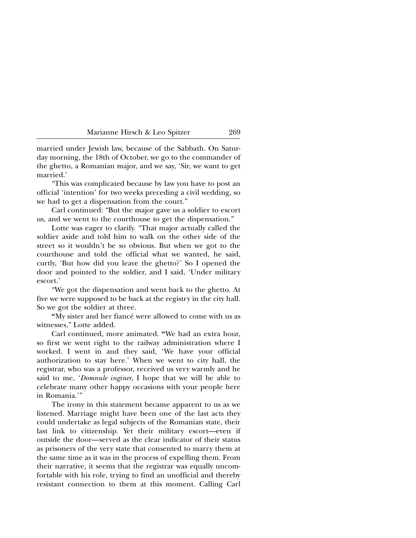married under Jewish law, because of the Sabbath. On Saturday morning, the 18th of October, we go to the commander of the ghetto, a Romanian major, and we say, 'Sir, we want to get married.'

"This was complicated because by law you have to post an official 'intention' for two weeks preceding a civil wedding, so we had to get a dispensation from the court."

Carl continued: "But the major gave us a soldier to escort us, and we went to the courthouse to get the dispensation."

Lotte was eager to clarify. "That major actually called the soldier aside and told him to walk on the other side of the street so it wouldn't be so obvious. But when we got to the courthouse and told the official what we wanted, he said, curtly, 'But how did you leave the ghetto?' So I opened the door and pointed to the soldier, and I said, 'Under military escort.'

"We got the dispensation and went back to the ghetto. At five we were supposed to be back at the registry in the city hall. So we got the soldier at three.

**"**My sister and her fiancé were allowed to come with us as witnesses," Lotte added.

Carl continued, more animated. **"**We had an extra hour, so first we went right to the railway administration where I worked. I went in and they said, 'We have your official authorization to stay here.' When we went to city hall, the registrar, who was a professor, received us very warmly and he said to me, '*Domnule inginer*, I hope that we will be able to celebrate many other happy occasions with your people here in Romania.'"

The irony in this statement became apparent to us as we listened. Marriage might have been one of the last acts they could undertake as legal subjects of the Romanian state, their last link to citizenship. Yet their military escort—even if outside the door—served as the clear indicator of their status as prisoners of the very state that consented to marry them at the same time as it was in the process of expelling them. From their narrative, it seems that the registrar was equally uncomfortable with his role, trying to find an unofficial and thereby resistant connection to them at this moment. Calling Carl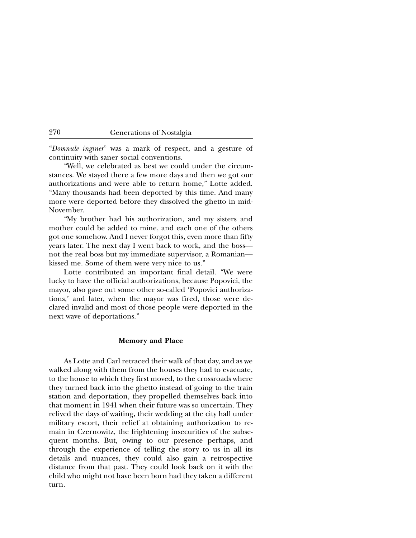"*Domnule inginer*" was a mark of respect, and a gesture of continuity with saner social conventions.

"Well, we celebrated as best we could under the circumstances. We stayed there a few more days and then we got our authorizations and were able to return home," Lotte added. "Many thousands had been deported by this time. And many more were deported before they dissolved the ghetto in mid-November.

"My brother had his authorization, and my sisters and mother could be added to mine, and each one of the others got one somehow. And I never forgot this, even more than fifty years later. The next day I went back to work, and the boss not the real boss but my immediate supervisor, a Romanian kissed me. Some of them were very nice to us."

Lotte contributed an important final detail. "We were lucky to have the official authorizations, because Popovici, the mayor, also gave out some other so-called 'Popovici authorizations,' and later, when the mayor was fired, those were declared invalid and most of those people were deported in the next wave of deportations."

# **Memory and Place**

As Lotte and Carl retraced their walk of that day, and as we walked along with them from the houses they had to evacuate, to the house to which they first moved, to the crossroads where they turned back into the ghetto instead of going to the train station and deportation, they propelled themselves back into that moment in 1941 when their future was so uncertain. They relived the days of waiting, their wedding at the city hall under military escort, their relief at obtaining authorization to remain in Czernowitz, the frightening insecurities of the subsequent months. But, owing to our presence perhaps, and through the experience of telling the story to us in all its details and nuances, they could also gain a retrospective distance from that past. They could look back on it with the child who might not have been born had they taken a different turn.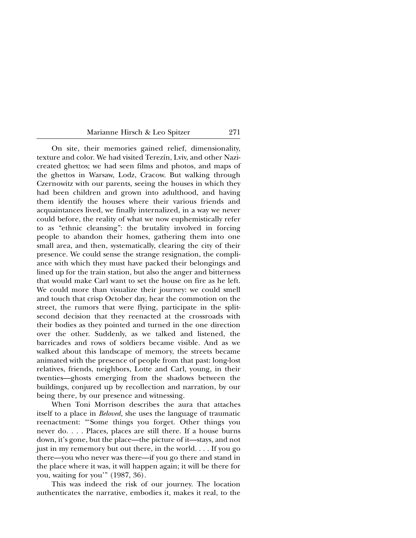On site, their memories gained relief, dimensionality, texture and color. We had visited Terezín, Lviv, and other Nazicreated ghettos; we had seen films and photos, and maps of the ghettos in Warsaw, Lodz, Cracow. But walking through Czernowitz with our parents, seeing the houses in which they had been children and grown into adulthood, and having them identify the houses where their various friends and acquaintances lived, we finally internalized, in a way we never could before, the reality of what we now euphemistically refer to as "ethnic cleansing": the brutality involved in forcing people to abandon their homes, gathering them into one small area, and then, systematically, clearing the city of their presence. We could sense the strange resignation, the compliance with which they must have packed their belongings and lined up for the train station, but also the anger and bitterness that would make Carl want to set the house on fire as he left. We could more than visualize their journey: we could smell and touch that crisp October day, hear the commotion on the street, the rumors that were flying, participate in the splitsecond decision that they reenacted at the crossroads with their bodies as they pointed and turned in the one direction over the other. Suddenly, as we talked and listened, the barricades and rows of soldiers became visible. And as we walked about this landscape of memory, the streets became animated with the presence of people from that past: long-lost relatives, friends, neighbors, Lotte and Carl, young, in their twenties—ghosts emerging from the shadows between the buildings, conjured up by recollection and narration, by our being there, by our presence and witnessing.

When Toni Morrison describes the aura that attaches itself to a place in *Beloved*, she uses the language of traumatic reenactment: "'Some things you forget. Other things you never do. . . . Places, places are still there. If a house burns down, it's gone, but the place—the picture of it—stays, and not just in my rememory but out there, in the world. . . . If you go there—you who never was there—if you go there and stand in the place where it was, it will happen again; it will be there for you, waiting for you'" (1987, 36).

This was indeed the risk of our journey. The location authenticates the narrative, embodies it, makes it real, to the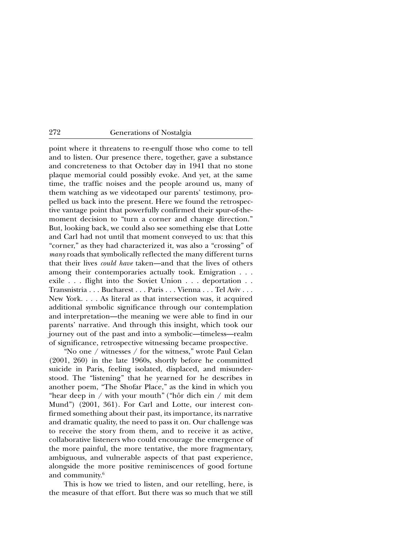point where it threatens to re-engulf those who come to tell and to listen. Our presence there, together, gave a substance and concreteness to that October day in 1941 that no stone plaque memorial could possibly evoke. And yet, at the same time, the traffic noises and the people around us, many of them watching as we videotaped our parents' testimony, propelled us back into the present. Here we found the retrospective vantage point that powerfully confirmed their spur-of-themoment decision to "turn a corner and change direction." But, looking back, we could also see something else that Lotte and Carl had not until that moment conveyed to us: that this "corner," as they had characterized it, was also a "crossing" of *many* roads that symbolically reflected the many different turns that their lives *could have* taken—and that the lives of others among their contemporaries actually took. Emigration . . . exile . . . flight into the Soviet Union . . . deportation . . Transnistria . . . Bucharest . . . Paris . . . Vienna . . . Tel Aviv . . . New York. . . . As literal as that intersection was, it acquired additional symbolic significance through our contemplation and interpretation—the meaning we were able to find in our parents' narrative. And through this insight, which took our journey out of the past and into a symbolic—timeless—realm of significance, retrospective witnessing became prospective.

"No one / witnesses / for the witness," wrote Paul Celan (2001, 260) in the late 1960s, shortly before he committed suicide in Paris, feeling isolated, displaced, and misunderstood. The "listening" that he yearned for he describes in another poem, "The Shofar Place," as the kind in which you "hear deep in / with your mouth" ("hör dich ein / mit dem Mund") (2001, 361). For Carl and Lotte, our interest confirmed something about their past, its importance, its narrative and dramatic quality, the need to pass it on. Our challenge was to receive the story from them, and to receive it as active, collaborative listeners who could encourage the emergence of the more painful, the more tentative, the more fragmentary, ambiguous, and vulnerable aspects of that past experience, alongside the more positive reminiscences of good fortune and community.<sup>6</sup>

This is how we tried to listen, and our retelling, here, is the measure of that effort. But there was so much that we still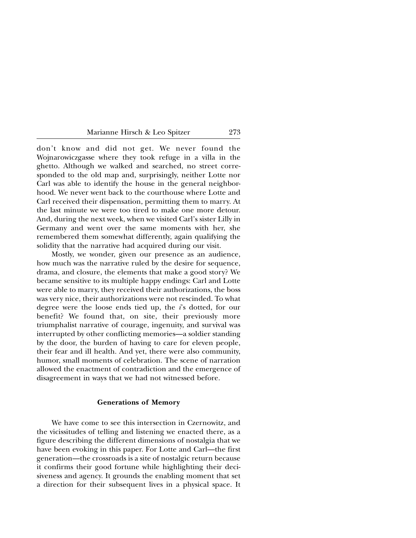don't know and did not get. We never found the Wojnarowiczgasse where they took refuge in a villa in the ghetto. Although we walked and searched, no street corresponded to the old map and, surprisingly, neither Lotte nor Carl was able to identify the house in the general neighborhood. We never went back to the courthouse where Lotte and Carl received their dispensation, permitting them to marry. At the last minute we were too tired to make one more detour. And, during the next week, when we visited Carl's sister Lilly in Germany and went over the same moments with her, she remembered them somewhat differently, again qualifying the solidity that the narrative had acquired during our visit.

Mostly, we wonder, given our presence as an audience, how much was the narrative ruled by the desire for sequence, drama, and closure, the elements that make a good story? We became sensitive to its multiple happy endings: Carl and Lotte were able to marry, they received their authorizations, the boss was very nice, their authorizations were not rescinded. To what degree were the loose ends tied up, the *i*'s dotted, for our benefit? We found that, on site, their previously more triumphalist narrative of courage, ingenuity, and survival was interrupted by other conflicting memories—a soldier standing by the door, the burden of having to care for eleven people, their fear and ill health. And yet, there were also community, humor, small moments of celebration. The scene of narration allowed the enactment of contradiction and the emergence of disagreement in ways that we had not witnessed before.

#### **Generations of Memory**

We have come to see this intersection in Czernowitz, and the vicissitudes of telling and listening we enacted there, as a figure describing the different dimensions of nostalgia that we have been evoking in this paper. For Lotte and Carl—the first generation—the crossroads is a site of nostalgic return because it confirms their good fortune while highlighting their decisiveness and agency. It grounds the enabling moment that set a direction for their subsequent lives in a physical space. It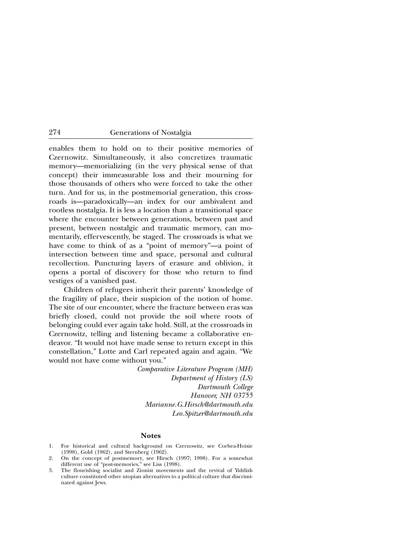enables them to hold on to their positive memories of Czernowitz. Simultaneously, it also concretizes traumatic memory—memorializing (in the very physical sense of that concept) their immeasurable loss and their mourning for those thousands of others who were forced to take the other turn. And for us, in the postmemorial generation, this crossroads is—paradoxically—an index for our ambivalent and rootless nostalgia. It is less a location than a transitional space where the encounter between generations, between past and present, between nostalgic and traumatic memory, can momentarily, effervescently, be staged. The crossroads is what we have come to think of as a "point of memory"—a point of intersection between time and space, personal and cultural recollection. Puncturing layers of erasure and oblivion, it opens a portal of discovery for those who return to find vestiges of a vanished past.

Children of refugees inherit their parents' knowledge of the fragility of place, their suspicion of the notion of home. The site of our encounter, where the fracture between eras was briefly closed, could not provide the soil where roots of belonging could ever again take hold. Still, at the crossroads in Czernowitz, telling and listening became a collaborative endeavor. "It would not have made sense to return except in this constellation," Lotte and Carl repeated again and again. "We would not have come without you."

> *Comparative Literature Program (MH) Department of History (LS) Dartmouth College Hanover, NH 03755 Marianne.G.Hirsch@dartmouth.edu Leo.Spitzer@dartmouth.edu*

# **Notes**

- 1. For historical and cultural background on Czernowitz, see Corbea-Hoisie (1998), Gold (1962), and Sternberg (1962).
- 2. On the concept of postmemory, see Hirsch (1997; 1998). For a somewhat different use of "post-memories," see Liss (1998).
- 3. The flourishing socialist and Zionist movements and the revival of Yiddish culture constituted other utopian alternatives to a political culture that discriminated against Jews.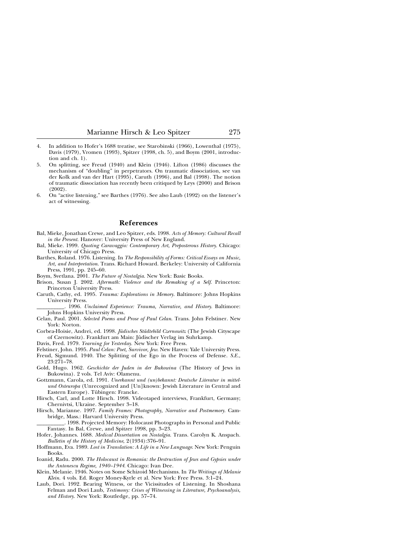- 4. In addition to Hofer's 1688 treatise, see Starobinski (1966), Lowenthal (1975), Davis (1979), Vromen (1993), Spitzer (1998, ch. 5), and Boym (2001, introduction and ch. 1).
- 5. On splitting, see Freud (1940) and Klein (1946). Lifton (1986) discusses the mechanism of "doubling" in perpetrators. On traumatic dissociation, see van der Kolk and van der Hart (1995), Caruth (1996), and Bal (1998). The notion of traumatic dissociation has recently been critiqued by Leys (2000) and Brison (2002).
- 6. On "active listening," see Barthes (1976). See also Laub (1992) on the listener's act of witnessing.

# **References**

- Bal, Mieke, Jonathan Crewe, and Leo Spitzer, eds. 1998. *Acts of Memory: Cultural Recall in the Present*. Hanover: University Press of New England.
- Bal, Mieke. 1999. *Quoting Caravaggio: Contemporary Art, Preposterous History*. Chicago: University of Chicago Press.
- Barthes, Roland. 1976. Listening. In *The Responsibility of Forms: Critical Essays on Music, Art, and Interpretation*. Trans. Richard Howard. Berkeley: University of California Press, 1991, pp. 245–60.

Boym, Svetlana. 2001. *The Future of Nostalgia*. New York: Basic Books.

- Brison, Susan J. 2002. *Aftermath: Violence and the Remaking of a Self*. Princeton: Princeton University Press.
- Caruth, Cathy, ed. 1995. *Trauma: Explorations in Memory*. Baltimore: Johns Hopkins University Press.

\_\_\_\_\_\_\_\_\_\_. 1996. *Unclaimed Experience: Trauma, Narrative, and History*. Baltimore: Johns Hopkins University Press.

- Celan, Paul. 2001. *Selected Poems and Prose of Paul Celan*. Trans. John Felstiner. New York: Norton.
- Corbea-Hoisie, Andrei, ed. 1998. *Jüdisches Städtebild Czernowitz* (The Jewish Cityscape of Czernowitz). Frankfurt am Main: Jüdischer Verlag im Suhrkamp.

Davis, Fred. 1979. *Yearning for Yesterday*. New York: Free Press.

- Felstiner, John. 1995. *Paul Celan: Poet, Survivor, Jew*. New Haven: Yale University Press. Freud, Sigmund. 1940. The Splitting of the Ego in the Process of Defense. *S.E.*, 23:271–78.
- Gold, Hugo. 1962. *Geschichte der Juden in der Bukowina* (The History of Jews in Bukowina). 2 vols. Tel Aviv: Olamenu.
- Gottzmann, Carola, ed. 1991. *Unerkannt und (un)bekannt: Deutsche Literatur in mittelund Osteuropa* (Unrecognized and [Un]known: Jewish Literature in Central and Eastern Europe). Tübingen: Francke.
- Hirsch, Carl, and Lotte Hirsch. 1998. Videotaped interviews, Frankfurt, Germany; Chernivtsi, Ukraine. September 3–18.
- Hirsch, Marianne. 1997. *Family Frames: Photography, Narrative and Postmemory*. Cambridge, Mass.: Harvard University Press.

\_\_\_\_\_\_\_\_\_\_. 1998. Projected Memory: Holocaust Photographs in Personal and Public Fantasy. In Bal, Crewe, and Spitzer 1998, pp. 3–23.

- Hofer, Johannes. 1688. *Medical Dissertation on Nostalgia*. Trans. Carolyn K. Anspach. *Bulletin of the History of Medicine*, 2(1934):376–91.
- Hoffmann, Eva. 1989. *Lost in Translation: A Life in a New Language*. New York: Penguin Books.
- Ioanid, Radu. 2000. *The Holocaust in Romania: the Destruction of Jews and Gypsies under the Antonescu Regime, 1940–1944*. Chicago: Ivan Dee.
- Klein, Melanie. 1946. Notes on Some Schizoid Mechanisms. In *The Writings of Melanie Klein*. 4 vols. Ed. Roger Money-Kyrle et al. New York: Free Press. 3:1–24.
- Laub, Dori. 1992. Bearing Witness, or the Vicissitudes of Listening. In Shoshana Felman and Dori Laub, *Testimony: Crises of Witnessing in Literature, Psychoanalysis, and History*. New York: Routledge, pp. 57–74.